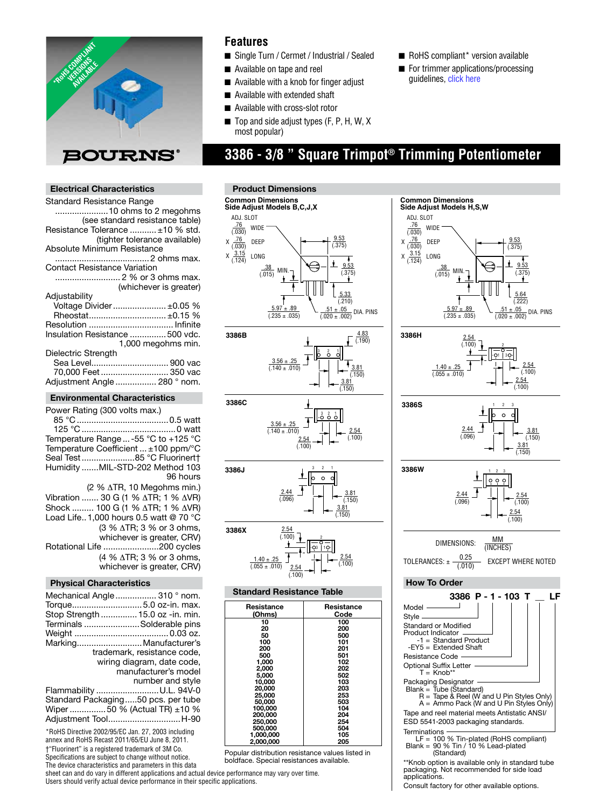

## **Electrical Characteristics**

| Standard Resistance Range                      |
|------------------------------------------------|
| 10 ohms to 2 megohms                           |
| (see standard resistance table)                |
| Resistance Tolerance  ±10 % std.               |
| (tighter tolerance available)                  |
| Absolute Minimum Resistance                    |
|                                                |
| <b>Contact Resistance Variation</b>            |
|                                                |
| (whichever is greater)                         |
| Adjustability                                  |
| Voltage Divider  ±0.05 %                       |
| Rheostat ±0.15 %                               |
|                                                |
| Insulation Resistance  500 vdc.                |
| 1,000 megohms min.                             |
| Dielectric Strength                            |
| Sea Level 900 vac                              |
| 70,000 Feet  350 vac                           |
| Adjustment Angle  280 ° nom.                   |
| <b><i>CONTRACTORS CARD FOR STREET</i></b><br>. |

#### **Environmental Characteristics**

| Power Rating (300 volts max.)                            |
|----------------------------------------------------------|
| Temperature Range  -55 °C to +125 °C                     |
| Temperature Coefficient $\dots \pm 100$ ppm/ $\degree$ C |
| Seal Test85 °C Fluorinert†                               |
| Humidity MIL-STD-202 Method 103                          |
| 96 hours                                                 |
| $(2 % \triangle TR, 10 Megohn, min.)$                    |
| Vibration  30 G (1 % ΔTR; 1 % ΔVR)                       |
| Shock  100 G (1 % ΔTR; 1 % ΔVR)                          |
| Load Life1,000 hours 0.5 watt @ 70 $^{\circ}$ C          |
| (3 % $\triangle$ TR; 3 % or 3 ohms,                      |
| whichever is greater, CRV)                               |
| Rotational Life 200 cycles                               |
| (4 % $\triangle$ TR; 3 % or 3 ohms,                      |
| whichever is greater, CRV)                               |
|                                                          |

### **Physical Characteristics**

| Mechanical Angle  310 ° nom.<br>Torque5.0 oz-in. max. |                             |
|-------------------------------------------------------|-----------------------------|
| Stop Strength  15.0 oz -in. min.                      |                             |
| Terminals Solderable pins                             |                             |
|                                                       |                             |
| Marking Manufacturer's                                |                             |
|                                                       | trademark, resistance code, |
|                                                       | wiring diagram, date code,  |
|                                                       | manufacturer's model        |
|                                                       | number and style            |
| Flammability U.L. 94V-0                               |                             |
| Standard Packaging50 pcs. per tube                    |                             |
| Wiper  50 % (Actual TR) ±10 %                         |                             |
| Adjustment ToolH-90                                   |                             |

\*RoHS Directive 2002/95/EC Jan. 27, 2003 including annex and RoHS Recast 2011/65/EU June 8, 2011. †"Fluorinert" is a registered trademark of 3M Co. Specifications are subject to change without notice. The device characteristics and parameters in this data

## **Features**

- Single Turn / Cermet / Industrial / Sealed
- $\blacksquare$  Available on tape and reel
- $\blacksquare$  Available with a knob for finger adjust
- Available with extended shaft
- Available with cross-slot rotor
- Top and side adjust types (F, P, H, W, X most popular)

# **3386 - 3/8 " Square Trimpot® Trimming Potentiometer**



**1,000,000 105 2,000,000 205** Popular distribution resistance values listed in boldface. Special resistances available.

sheet can and do vary in different applications and actual device performance may vary over time. Users should verify actual device performance in their specific applications.



RoHS compliant\* version available  $\blacksquare$  For trimmer [applications/pro](http://www.bourns.com/data/global/pdfs/ap_proc.pdf)cessing

 guidelines, click here

Terminations LF = 100 % Tin-plated (RoHS compliant) Blank = 90 % Tin / 10 % Lead-plated (Standard)

\*\*Knob option is available only in standard tube packaging. Not recommended for side load applications.

Consult factory for other available options.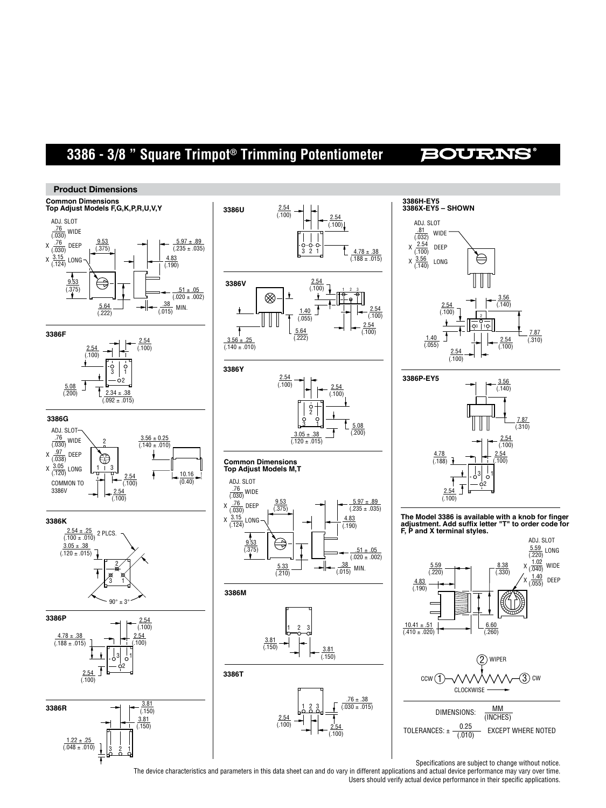# **3386 - 3/8 " Square Trimpot® Trimming Potentiometer**

## **BOURNS'**



Specifications are subject to change without notice.

ADJ. SLOT  $\frac{5.59}{(.220)}$ x (<u>.040</u>) WIDE 1.40  $X(\overline{.055})$  DEEP

7.87 (.310)

LONG

The device characteristics and parameters in this data sheet can and do vary in different applications and actual device performance may vary over time. Users should verify actual device performance in their specific applications.